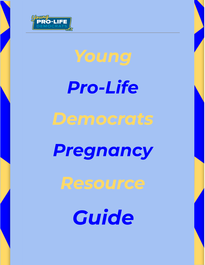

# *Young*

*Pro-Life*

## *Democrats*

## *Pregnancy*

## *Resource*

*Guide*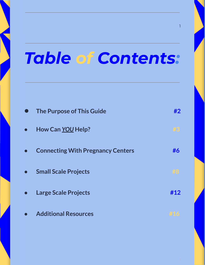# *Table of Contents:*

| <b>The Purpose of This Guide</b>         | #2  |
|------------------------------------------|-----|
| How Can YOU Help?                        |     |
| <b>Connecting With Pregnancy Centers</b> | #6  |
| <b>Small Scale Projects</b>              |     |
| <b>Large Scale Projects</b>              | #12 |
| <b>Additional Resources</b>              |     |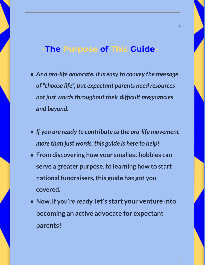### **-The Purpose of This Guide-**

- *● As a pro-life advocate, it is easy to convey the message of "choose life" , but expectant parents need resources not just wordsthroughout their difficult pregnancies and beyond.*
- *● If you are ready to contribute to the pro-life movement more than just words, this guide is here to help!*
- **● From discovering how your smallest hobbies can serve a greater purpose,to learning how to start national fundraisers,this guide has got you covered.**
- **● Now, if you're ready, let's start your venture into becoming an active advocate for expectant parents!**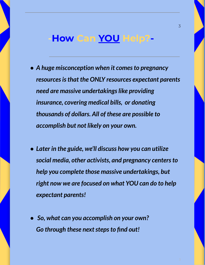## **-How Can YOU Help?-**

- *● A huge misconception when it comesto pregnancy resourcesisthat the ONLY resources expectant parents need are massive undertakings like providing insurance, covering medical bills, or donating thousands of dollars. All of these are possible to accomplish but not likely on your own.*
- *● Later in the guide, we'll discuss how you can utilize social media, other activists, and pregnancy centersto help you complete those massive undertakings, but right now we are focused on what YOU can do to help expectant parents!*
- *● So, what can you accomplish on your own?* **Go** through these next steps to find out!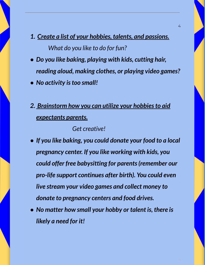- *1. Create a list of your hobbies, talents, and passions. What do you like to do for fun?*
- *● Do you like baking, playing with kids, cutting hair, reading aloud, making clothes, or playing video games?*
- *● No activity istoo small!*
- *2. Brainstorm how you can utilize your hobbiesto aid expectants parents.*

*Get creative!*

- *● If you like baking, you could donate your food to a local pregnancy center. If you like working with kids, you could offer free babysitting for parents(remember our pro-life support continues after birth). You could even live stream your video games and collect money to donate to pregnancy centers and food drives.*
- *● No matter how small your hobby or talent is, there is likely a need for it!*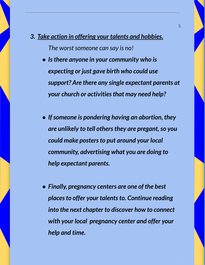- *3. Take action in offering your talents and hobbies. The* worst someone can say is no!
	- *● Isthere anyone in your community who is expecting or just gave birth who could use support? Are there any single expectant parents at your church or activitiesthat may need help?*
	- *● Ifsomeone is pondering having an abortion, they are unlikely to tell othersthey are pregant,so you could make postersto put around your local community, advertising what you are doing to help expectant parents.*
	- *● Finally, pregnancy centers are one of the best places to offer your talents to. Continue reading into the next chapter to discover how to connect with your local pregnancy center and offer your help and time.*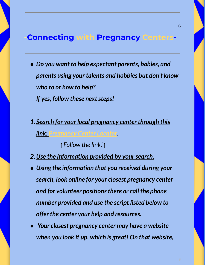### **-Connecting with Pregnancy Centers-**

- *● Do you want to help expectant parents, babies, and parents using your talents and hobbies but don't know who to or how to help? If* yes, follow these next steps!
- *1. Search for your local pregnancy center through this link: [Pregnancy](https://optionline.org/center-locator/) Center Locator.*

*↑Follow the link!↑*

- *2.Use the information provided by yoursearch.*
- *● Using the information that you received during your search, look online for your closest pregnancy center and for volunteer positionsthere or call the phone number provided and use the script listed below to offer the center your help and resources.*
- *● Your closest pregnancy center may have a website when you look it up, which is great! On that website,*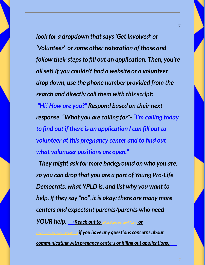*look for a dropdown thatsays'Get Involved' or 'Volunteer' orsome other reiteration of those and follow their steps to fill out an application. Then, you're allset! If you couldn't find a website or a volunteer drop down, use the phone number provided from the search and directly call them with thisscript:*

*"Hi! How are you?" Respond based on their next response. "What you are calling for"- "I'm calling today to find out if there is an application I can fill out to volunteer at this pregnancy center and to find out what volunteer positions are open."*

*They might ask for more background on who you are, so you can drop that you are a part of Young Pro-Life Democrats, what YPLD is, and list why you want to help. If they say "no" , it is okay; there are many more centers and expectant parents/parents who need YOUR help. →Reach out to [ypld@democratsforlife.org](mailto:ypld@democratsforlife.org) or [grace.lynch@democratsforlife.org](mailto:grace.lynch@democratsforlife.org) if you have any questions concerns about communicating with pregancy centers or filling out applications.←*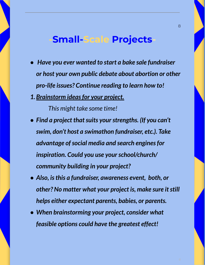## **-Small-Scale Projects-**

- *● Have you ever wanted to start a bake sale fundraiser or host your own public debate about abortion or other pro-life issues? Continue reading to learn how to!*
- *1.Brainstorm ideasfor your project.*

*This might take some time!*

- Find *a* project that suits your strengths. (If you can't *swim, don't host a swimathon fundraiser, etc.). Take advantage ofsocial media and search enginesfor inspiration. Could you use yourschool/church/ community building in your project?*
- *● Also, isthis a fundraiser, awareness event, both, or other? No matter what your project is, make sure itstill helps either expectant parents, babies, or parents.*
- *● When brainstorming your project, consider what feasible options could have the greatest effect!*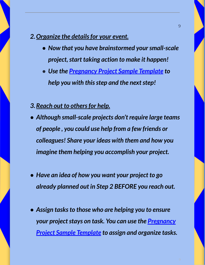#### *2.Organize the detailsfor your event.*

- *● Now that you have brainstormed yoursmall-scale project,start taking action to make it happen!*
- *● Use the [Pregnancy](https://docs.google.com/document/d/1y1HG6VcyBfVSRCZRUmqT4o83VSy5bQsuMe17tY7IfR4/edit?usp=sharing) Project Sample Template to help* you with this step and the next step!
- *3.Reach out to othersfor help.*
- *● Although small-scale projects don't require large teams of people , you could use help from a few friends or colleagues! Share your ideas with them and how you imagine them helping you accomplish your project.*
- *● Have an idea of how you want your project to go already planned out in Step 2 BEFORE you reach out.*
- *● Assign tasksto those who are helping you to ensure your project stays on task. You can use the [Pregnancy](https://docs.google.com/document/d/1y1HG6VcyBfVSRCZRUmqT4o83VSy5bQsuMe17tY7IfR4/edit?usp=sharing) Project Sample [Template](https://docs.google.com/document/d/1y1HG6VcyBfVSRCZRUmqT4o83VSy5bQsuMe17tY7IfR4/edit?usp=sharing) to assign and organize tasks.*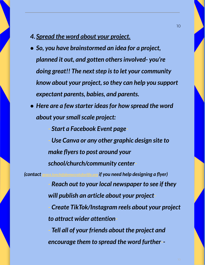#### *4. Spread the word about your project.*

- *● So, you have brainstormed an idea for a project, planned it out, and gotten othersinvolved- you're doing great!! The nextstep isto let your community know about your project,so they can help you support expectant parents, babies, and parents.*
- *● Here are a few starter ideasfor how spread the word about yoursmallscale project:*

*- Start a Facebook Event page- - Use Canva or any other graphic design site to make flyers to post around your school/church/community center- (contact [grace.lynch@democratsforlife.org](mailto:grace.lynch@democratsforlife.org) if you need help designing a flyer) - Reach out to your local newspaper to see if they will publish an article about your project- - Create TikTok/Instagram reels about your project to attract wider attention- - Tell all of your friends about the project and encourage them to spread the word further--*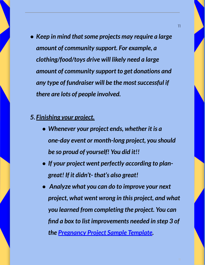*● Keep in mind thatsome projects may require a large amount of community support. For example, a clothing/food/toys drive will likely need a large amount of community support to get donations and any type of fundraiser will be the mostsuccessful if there are lots of people involved.*

#### *5. Finishing your project.*

- *● Whenever your project ends, whether it is a one-day event or month-long project, you should be so proud of yourself! You did it!!*
- *● If your project went perfectly according to plangreat! If it didn't- that's also great!*
- *● Analyze what you can do to improve your next project, what went wrong in this project, and what you learned from completing the project. You can find a box to list improvements needed in step 3 of the [Pregnancy](https://docs.google.com/document/d/1y1HG6VcyBfVSRCZRUmqT4o83VSy5bQsuMe17tY7IfR4/edit?usp=sharing) Project Sample Template.*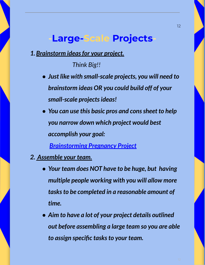### **-Large-Scale Projects-**

*1.Brainstorm ideasfor your project.*

*Think Big!!*

- *● Just like with small-scale projects, you will need to brainstorm ideas OR you could build off of your small-scale projectsideas!*
- *● You can use this basic pros and conssheet to help you narrow down which project would best accomplish your goal:*

*[Brainstorming](https://docs.google.com/document/d/1v_7LJPTDyTf5f3mcvocNoTt-7rIWaLLTejzjqUpe3j0/edit?usp=sharing) Pregnancy Project*

- *2. Assemble your team.*
	- *● Your team does NOT have to be huge, but having multiple people working with you will allow more tasksto be completed in a reasonable amount of time.*
	- *● Aim to have a lot of your project details outlined out before assembling a large team so you are able to assign specific tasksto your team.*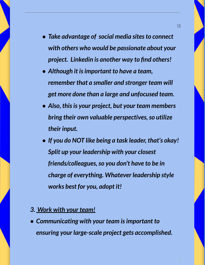- *● Take advantage of social media sitesto connect with others who would be passionate about your project. Linkedin is another way to find others!*
- *● Although it isimportant to have a team, remember that a smaller and stronger team will get more done than a large and unfocused team.*
- *● Also, thisis your project, but your team members bring their own valuable perspectives, so utilize their input.*
- *● If you do NOT like being a task leader, that's okay! Split up your leadership with your closest friends/colleagues,so you don't have to be in charge of everything. Whatever leadership style works best for you, adopt it!*

#### *3. Work with your team!*

*● Communicating with your team isimportant to ensuring your large-scale project gets accomplished.*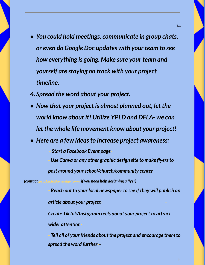- *● You could hold meetings, communicate in group chats, or even do Google Doc updates with your team to see how everything is going. Make sure your team and yourself are staying on track with your project timeline.*
- *4. Spread the word about your project.*
- *● Now that your project is almost planned out, let the world know about it! Utilize YPLD and DFLA- we can let the whole life movement know about your project!*
- *● Here are a few ideasto increase project awareness:*

*- Start a Facebook Event page-*

*- Use Canva or any other graphic design site to make flyersto*

*post around yourschool/church/community center-*

*(contact grace.lynch@democratsforlife.org if you need help designing a flyer)*

*- Reach out to your local newspaper to see if they will publish an article about your project- -*

*Create TikTok/Instagram reels about your project to attract wider attention-*

*- Tell all of your friends about the project and encourage them to spread the word further--*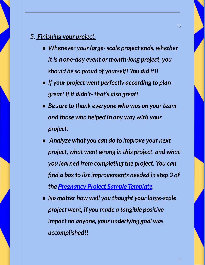#### *5. Finishing your project.*

- *● Whenever your large-scale project ends, whether it is a one-day event or month-long project, you should be so proud of yourself! You did it!!*
- *● If your project went perfectly according to plangreat! If it didn't- that's also great!*
- *● Be sure to thank everyone who was on your team and those who helped in any way with your project.*
- *● Analyze what you can do to improve your next project, what went wrong in this project, and what you learned from completing the project. You can find a box to list improvements needed in step 3 of the [Pregnancy](https://docs.google.com/document/d/1y1HG6VcyBfVSRCZRUmqT4o83VSy5bQsuMe17tY7IfR4/edit?usp=sharing) Project Sample Template.*
- *● No matter how well you thought your large-scale project went, if you made a tangible positive impact on anyone, your underlying goal was accomplished!!*